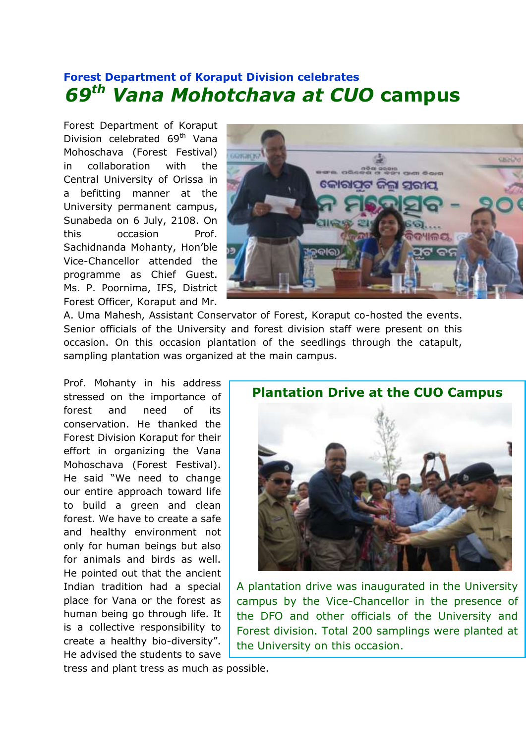## **Forest Department of Koraput Division celebrates**  *69th Vana Mohotchava at CUO* **campus**

Forest Department of Koraput Division celebrated 69<sup>th</sup> Vana Mohoschava (Forest Festival) in collaboration with the Central University of Orissa in a befitting manner at the University permanent campus, Sunabeda on 6 July, 2108. On this occasion Prof. Sachidnanda Mohanty, Hon'ble Vice-Chancellor attended the programme as Chief Guest. Ms. P. Poornima, IFS, District Forest Officer, Koraput and Mr.



A. Uma Mahesh, Assistant Conservator of Forest, Koraput co-hosted the events. Senior officials of the University and forest division staff were present on this occasion. On this occasion plantation of the seedlings through the catapult, sampling plantation was organized at the main campus.

Prof. Mohanty in his address stressed on the importance of forest and need of its conservation. He thanked the Forest Division Koraput for their effort in organizing the Vana Mohoschava (Forest Festival). He said "We need to change our entire approach toward life to build a green and clean forest. We have to create a safe and healthy environment not only for human beings but also for animals and birds as well. He pointed out that the ancient Indian tradition had a special place for Vana or the forest as human being go through life. It is a collective responsibility to create a healthy bio-diversity". He advised the students to save



A plantation drive was inaugurated in the University campus by the Vice-Chancellor in the presence of the DFO and other officials of the University and Forest division. Total 200 samplings were planted at the University on this occasion.

tress and plant tress as much as possible.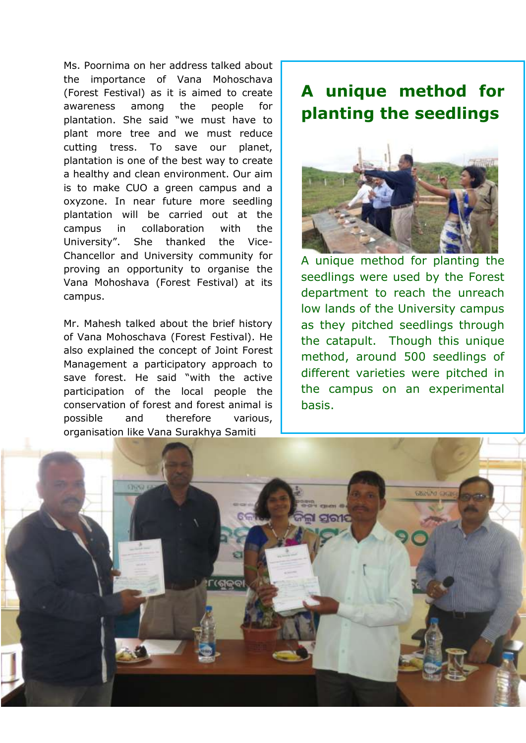Ms. Poornima on her address talked about the importance of Vana Mohoschava (Forest Festival) as it is aimed to create awareness among the people for plantation. She said "we must have to plant more tree and we must reduce cutting tress. To save our planet, plantation is one of the best way to create a healthy and clean environment. Our aim is to make CUO a green campus and a oxyzone. In near future more seedling plantation will be carried out at the campus in collaboration with the University". She thanked the Vice-Chancellor and University community for proving an opportunity to organise the Vana Mohoshava (Forest Festival) at its campus.

Mr. Mahesh talked about the brief history of Vana Mohoschava (Forest Festival). He also explained the concept of Joint Forest Management a participatory approach to save forest. He said "with the active participation of the local people the conservation of forest and forest animal is possible and therefore various, organisation like Vana Surakhya Samiti

## **A unique method for planting the seedlings**



A unique method for planting the seedlings were used by the Forest department to reach the unreach low lands of the University campus as they pitched seedlings through the catapult. Though this unique method, around 500 seedlings of different varieties were pitched in the campus on an experimental basis.